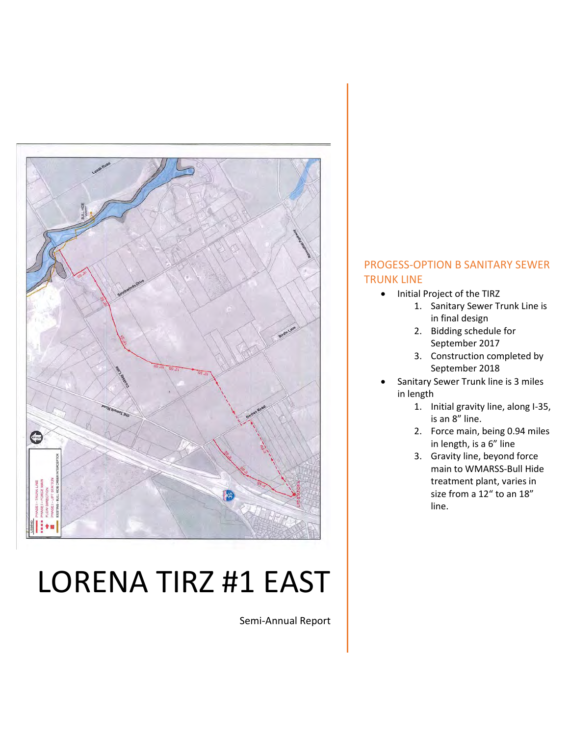

# LORENA TIRZ #1 EAST

Semi-Annual Report

## PROGESS-OPTION B SANITARY SEWER TRUNK LINE

- Initial Project of the TIRZ
	- 1. Sanitary Sewer Trunk Line is in final design
	- 2. Bidding schedule for September 2017
	- 3. Construction completed by September 2018
- Sanitary Sewer Trunk line is 3 miles in length
	- 1. Initial gravity line, along I-35, is an 8" line.
	- 2. Force main, being 0.94 miles in length, is a 6" line
	- 3. Gravity line, beyond force main to WMARSS-Bull Hide treatment plant, varies in size from a 12" to an 18" line.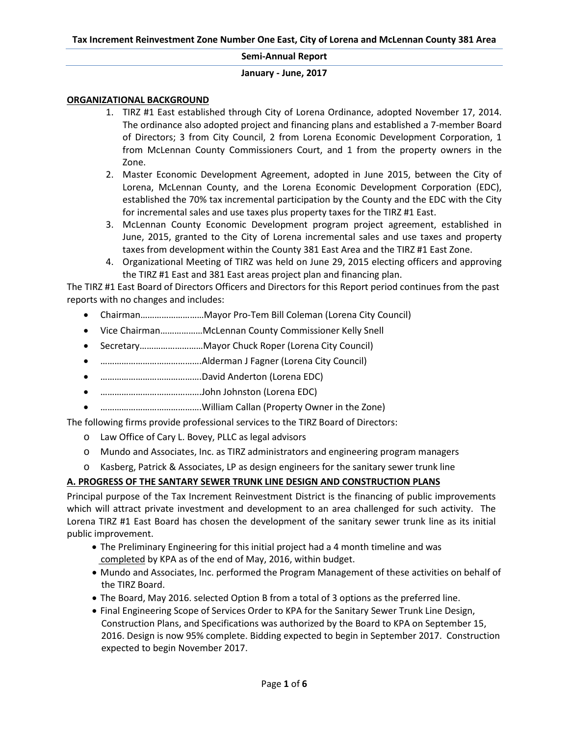#### **January - June, 2017**

#### **ORGANIZATIONAL BACKGROUND**

- 1. TIRZ #1 East established through City of Lorena Ordinance, adopted November 17, 2014. The ordinance also adopted project and financing plans and established a 7-member Board of Directors; 3 from City Council, 2 from Lorena Economic Development Corporation, 1 from McLennan County Commissioners Court, and 1 from the property owners in the Zone.
- 2. Master Economic Development Agreement, adopted in June 2015, between the City of Lorena, McLennan County, and the Lorena Economic Development Corporation (EDC), established the 70% tax incremental participation by the County and the EDC with the City for incremental sales and use taxes plus property taxes for the TIRZ #1 East.
- 3. McLennan County Economic Development program project agreement, established in June, 2015, granted to the City of Lorena incremental sales and use taxes and property taxes from development within the County 381 East Area and the TIRZ #1 East Zone.
- 4. Organizational Meeting of TIRZ was held on June 29, 2015 electing officers and approving the TIRZ #1 East and 381 East areas project plan and financing plan.

The TIRZ #1 East Board of Directors Officers and Directors for this Report period continues from the past reports with no changes and includes:

- Chairman………………………Mayor Pro-Tem Bill Coleman (Lorena City Council)
- Vice Chairman………………McLennan County Commissioner Kelly Snell
- Secretary………………………Mayor Chuck Roper (Lorena City Council)
- …………………………………….Alderman J Fagner (Lorena City Council)
- …………………………………….David Anderton (Lorena EDC)
- …………………………………….John Johnston (Lorena EDC)
- …………………………………….William Callan (Property Owner in the Zone)

The following firms provide professional services to the TIRZ Board of Directors:

- o Law Office of Cary L. Bovey, PLLC as legal advisors
- o Mundo and Associates, Inc. as TIRZ administrators and engineering program managers
- o Kasberg, Patrick & Associates, LP as design engineers for the sanitary sewer trunk line

#### **A. PROGRESS OF THE SANTARY SEWER TRUNK LINE DESIGN AND CONSTRUCTION PLANS**

Principal purpose of the Tax Increment Reinvestment District is the financing of public improvements which will attract private investment and development to an area challenged for such activity. The Lorena TIRZ #1 East Board has chosen the development of the sanitary sewer trunk line as its initial public improvement.

- The Preliminary Engineering for this initial project had a 4 month timeline and was completed by KPA as of the end of May, 2016, within budget.
- Mundo and Associates, Inc. performed the Program Management of these activities on behalf of the TIRZ Board.
- The Board, May 2016. selected Option B from a total of 3 options as the preferred line.
- Final Engineering Scope of Services Order to KPA for the Sanitary Sewer Trunk Line Design, Construction Plans, and Specifications was authorized by the Board to KPA on September 15, 2016. Design is now 95% complete. Bidding expected to begin in September 2017. Construction expected to begin November 2017.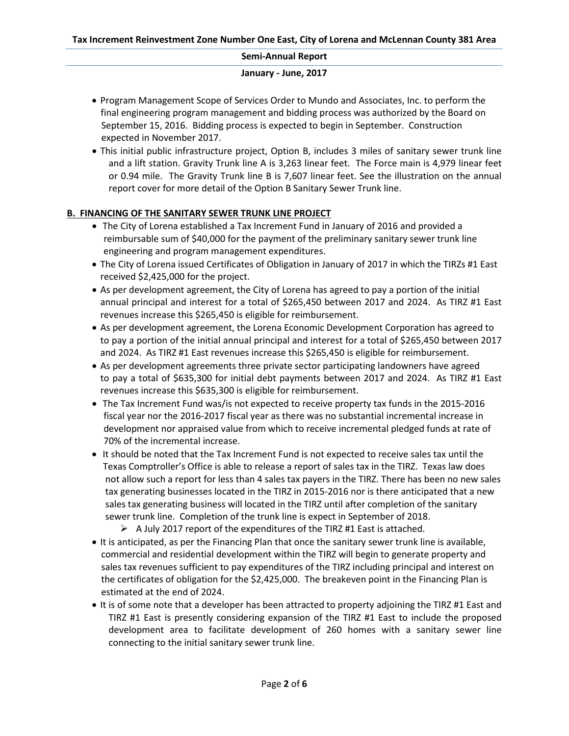#### **January - June, 2017**

- Program Management Scope of Services Order to Mundo and Associates, Inc. to perform the final engineering program management and bidding process was authorized by the Board on September 15, 2016. Bidding process is expected to begin in September. Construction expected in November 2017.
- This initial public infrastructure project, Option B, includes 3 miles of sanitary sewer trunk line and a lift station. Gravity Trunk line A is 3,263 linear feet. The Force main is 4,979 linear feet or 0.94 mile. The Gravity Trunk line B is 7,607 linear feet. See the illustration on the annual report cover for more detail of the Option B Sanitary Sewer Trunk line.

## **B. FINANCING OF THE SANITARY SEWER TRUNK LINE PROJECT**

- The City of Lorena established a Tax Increment Fund in January of 2016 and provided a reimbursable sum of \$40,000 for the payment of the preliminary sanitary sewer trunk line engineering and program management expenditures.
- The City of Lorena issued Certificates of Obligation in January of 2017 in which the TIRZs #1 East received \$2,425,000 for the project.
- As per development agreement, the City of Lorena has agreed to pay a portion of the initial annual principal and interest for a total of \$265,450 between 2017 and 2024. As TIRZ #1 East revenues increase this \$265,450 is eligible for reimbursement.
- As per development agreement, the Lorena Economic Development Corporation has agreed to to pay a portion of the initial annual principal and interest for a total of \$265,450 between 2017 and 2024. As TIRZ #1 East revenues increase this \$265,450 is eligible for reimbursement.
- As per development agreements three private sector participating landowners have agreed to pay a total of \$635,300 for initial debt payments between 2017 and 2024. As TIRZ #1 East revenues increase this \$635,300 is eligible for reimbursement.
- The Tax Increment Fund was/is not expected to receive property tax funds in the 2015-2016 fiscal year nor the 2016-2017 fiscal year as there was no substantial incremental increase in development nor appraised value from which to receive incremental pledged funds at rate of 70% of the incremental increase.
- It should be noted that the Tax Increment Fund is not expected to receive sales tax until the Texas Comptroller's Office is able to release a report of sales tax in the TIRZ. Texas law does not allow such a report for less than 4 sales tax payers in the TIRZ. There has been no new sales tax generating businesses located in the TIRZ in 2015-2016 nor is there anticipated that a new sales tax generating business will located in the TIRZ until after completion of the sanitary sewer trunk line. Completion of the trunk line is expect in September of 2018.
	- $\triangleright$  A July 2017 report of the expenditures of the TIRZ #1 East is attached.
- It is anticipated, as per the Financing Plan that once the sanitary sewer trunk line is available, commercial and residential development within the TIRZ will begin to generate property and sales tax revenues sufficient to pay expenditures of the TIRZ including principal and interest on the certificates of obligation for the \$2,425,000. The breakeven point in the Financing Plan is estimated at the end of 2024.
- It is of some note that a developer has been attracted to property adjoining the TIRZ #1 East and TIRZ #1 East is presently considering expansion of the TIRZ #1 East to include the proposed development area to facilitate development of 260 homes with a sanitary sewer line connecting to the initial sanitary sewer trunk line.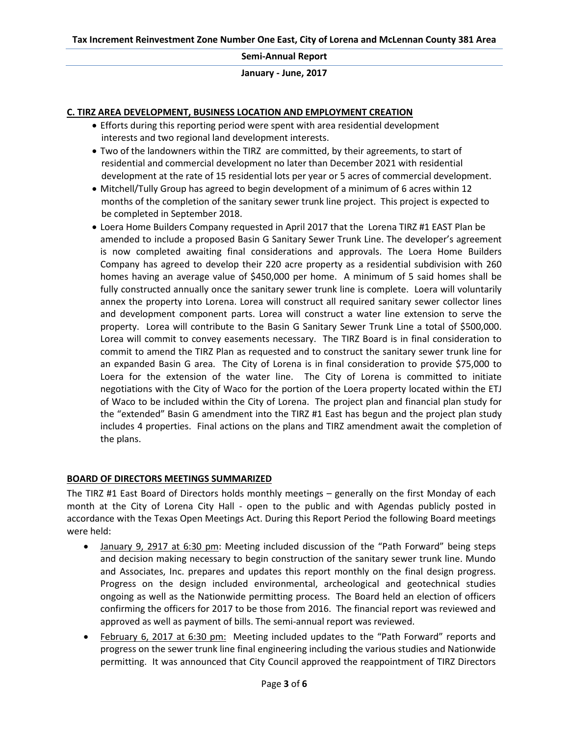**January - June, 2017** 

#### **C. TIRZ AREA DEVELOPMENT, BUSINESS LOCATION AND EMPLOYMENT CREATION**

- Efforts during this reporting period were spent with area residential development interests and two regional land development interests.
- Two of the landowners within the TIRZ are committed, by their agreements, to start of residential and commercial development no later than December 2021 with residential development at the rate of 15 residential lots per year or 5 acres of commercial development.
- Mitchell/Tully Group has agreed to begin development of a minimum of 6 acres within 12 months of the completion of the sanitary sewer trunk line project. This project is expected to be completed in September 2018.
- Loera Home Builders Company requested in April 2017 that the Lorena TIRZ #1 EAST Plan be amended to include a proposed Basin G Sanitary Sewer Trunk Line. The developer's agreement is now completed awaiting final considerations and approvals. The Loera Home Builders Company has agreed to develop their 220 acre property as a residential subdivision with 260 homes having an average value of \$450,000 per home. A minimum of 5 said homes shall be fully constructed annually once the sanitary sewer trunk line is complete. Loera will voluntarily annex the property into Lorena. Lorea will construct all required sanitary sewer collector lines and development component parts. Lorea will construct a water line extension to serve the property. Lorea will contribute to the Basin G Sanitary Sewer Trunk Line a total of \$500,000. Lorea will commit to convey easements necessary. The TIRZ Board is in final consideration to commit to amend the TIRZ Plan as requested and to construct the sanitary sewer trunk line for an expanded Basin G area. The City of Lorena is in final consideration to provide \$75,000 to Loera for the extension of the water line. The City of Lorena is committed to initiate negotiations with the City of Waco for the portion of the Loera property located within the ETJ of Waco to be included within the City of Lorena. The project plan and financial plan study for the "extended" Basin G amendment into the TIRZ #1 East has begun and the project plan study includes 4 properties. Final actions on the plans and TIRZ amendment await the completion of the plans.

## **BOARD OF DIRECTORS MEETINGS SUMMARIZED**

The TIRZ #1 East Board of Directors holds monthly meetings – generally on the first Monday of each month at the City of Lorena City Hall - open to the public and with Agendas publicly posted in accordance with the Texas Open Meetings Act. During this Report Period the following Board meetings were held:

- January 9, 2917 at 6:30 pm: Meeting included discussion of the "Path Forward" being steps and decision making necessary to begin construction of the sanitary sewer trunk line. Mundo and Associates, Inc. prepares and updates this report monthly on the final design progress. Progress on the design included environmental, archeological and geotechnical studies ongoing as well as the Nationwide permitting process. The Board held an election of officers confirming the officers for 2017 to be those from 2016. The financial report was reviewed and approved as well as payment of bills. The semi-annual report was reviewed.
- February 6, 2017 at 6:30 pm: Meeting included updates to the "Path Forward" reports and progress on the sewer trunk line final engineering including the various studies and Nationwide permitting. It was announced that City Council approved the reappointment of TIRZ Directors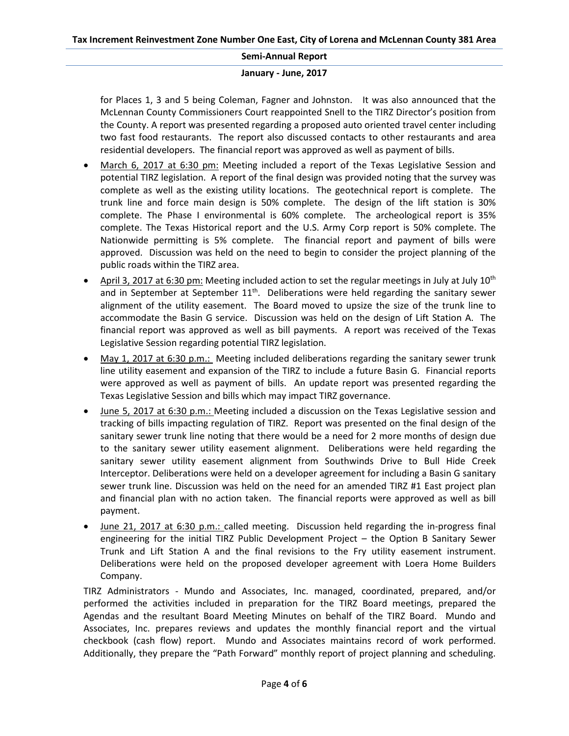#### **January - June, 2017**

for Places 1, 3 and 5 being Coleman, Fagner and Johnston. It was also announced that the McLennan County Commissioners Court reappointed Snell to the TIRZ Director's position from the County. A report was presented regarding a proposed auto oriented travel center including two fast food restaurants. The report also discussed contacts to other restaurants and area residential developers. The financial report was approved as well as payment of bills.

- March 6, 2017 at 6:30 pm: Meeting included a report of the Texas Legislative Session and potential TIRZ legislation. A report of the final design was provided noting that the survey was complete as well as the existing utility locations. The geotechnical report is complete. The trunk line and force main design is 50% complete. The design of the lift station is 30% complete. The Phase I environmental is 60% complete. The archeological report is 35% complete. The Texas Historical report and the U.S. Army Corp report is 50% complete. The Nationwide permitting is 5% complete. The financial report and payment of bills were approved. Discussion was held on the need to begin to consider the project planning of the public roads within the TIRZ area.
- April 3, 2017 at 6:30 pm: Meeting included action to set the regular meetings in July at July 10<sup>th</sup> and in September at September  $11<sup>th</sup>$ . Deliberations were held regarding the sanitary sewer alignment of the utility easement. The Board moved to upsize the size of the trunk line to accommodate the Basin G service. Discussion was held on the design of Lift Station A. The financial report was approved as well as bill payments. A report was received of the Texas Legislative Session regarding potential TIRZ legislation.
- May 1, 2017 at 6:30 p.m.: Meeting included deliberations regarding the sanitary sewer trunk line utility easement and expansion of the TIRZ to include a future Basin G. Financial reports were approved as well as payment of bills. An update report was presented regarding the Texas Legislative Session and bills which may impact TIRZ governance.
- June 5, 2017 at 6:30 p.m.: Meeting included a discussion on the Texas Legislative session and tracking of bills impacting regulation of TIRZ. Report was presented on the final design of the sanitary sewer trunk line noting that there would be a need for 2 more months of design due to the sanitary sewer utility easement alignment. Deliberations were held regarding the sanitary sewer utility easement alignment from Southwinds Drive to Bull Hide Creek Interceptor. Deliberations were held on a developer agreement for including a Basin G sanitary sewer trunk line. Discussion was held on the need for an amended TIRZ #1 East project plan and financial plan with no action taken. The financial reports were approved as well as bill payment.
- June 21, 2017 at 6:30 p.m.: called meeting. Discussion held regarding the in-progress final engineering for the initial TIRZ Public Development Project – the Option B Sanitary Sewer Trunk and Lift Station A and the final revisions to the Fry utility easement instrument. Deliberations were held on the proposed developer agreement with Loera Home Builders Company.

TIRZ Administrators - Mundo and Associates, Inc. managed, coordinated, prepared, and/or performed the activities included in preparation for the TIRZ Board meetings, prepared the Agendas and the resultant Board Meeting Minutes on behalf of the TIRZ Board. Mundo and Associates, Inc. prepares reviews and updates the monthly financial report and the virtual checkbook (cash flow) report. Mundo and Associates maintains record of work performed. Additionally, they prepare the "Path Forward" monthly report of project planning and scheduling.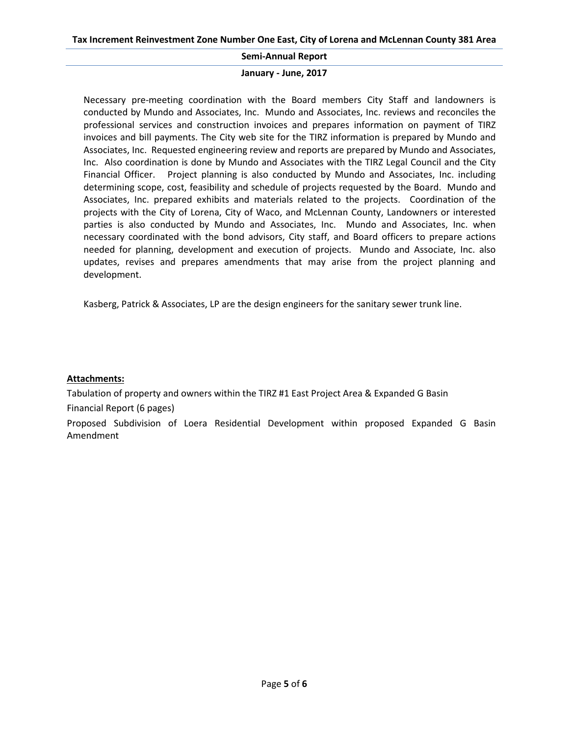#### **January - June, 2017**

Necessary pre-meeting coordination with the Board members City Staff and landowners is conducted by Mundo and Associates, Inc. Mundo and Associates, Inc. reviews and reconciles the professional services and construction invoices and prepares information on payment of TIRZ invoices and bill payments. The City web site for the TIRZ information is prepared by Mundo and Associates, Inc. Requested engineering review and reports are prepared by Mundo and Associates, Inc. Also coordination is done by Mundo and Associates with the TIRZ Legal Council and the City Financial Officer. Project planning is also conducted by Mundo and Associates, Inc. including determining scope, cost, feasibility and schedule of projects requested by the Board. Mundo and Associates, Inc. prepared exhibits and materials related to the projects. Coordination of the projects with the City of Lorena, City of Waco, and McLennan County, Landowners or interested parties is also conducted by Mundo and Associates, Inc. Mundo and Associates, Inc. when necessary coordinated with the bond advisors, City staff, and Board officers to prepare actions needed for planning, development and execution of projects. Mundo and Associate, Inc. also updates, revises and prepares amendments that may arise from the project planning and development.

Kasberg, Patrick & Associates, LP are the design engineers for the sanitary sewer trunk line.

## **Attachments:**

Tabulation of property and owners within the TIRZ #1 East Project Area & Expanded G Basin Financial Report (6 pages)

Proposed Subdivision of Loera Residential Development within proposed Expanded G Basin Amendment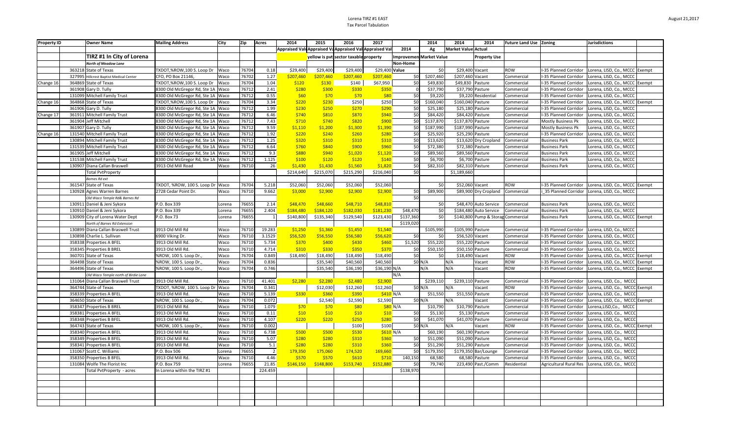#### Lorena TIRZ #1 EAST Tax Parcel Tabulation

| <b>Property ID</b> |        | <b>Owner Name</b>                       | <b>Mailing Address</b>            | City   | Zip   | Acres          | 2014      | 2015      | 2016                                                    | 2017           |                         | 2014      | 2014<br>2014                       | Future Land Use Zoning |                               | <b>Jurisdictions</b>           |  |
|--------------------|--------|-----------------------------------------|-----------------------------------|--------|-------|----------------|-----------|-----------|---------------------------------------------------------|----------------|-------------------------|-----------|------------------------------------|------------------------|-------------------------------|--------------------------------|--|
|                    |        |                                         |                                   |        |       |                |           |           | Appraised Valu Appraised Va Appraised Val Appraised Val |                | 2014                    | Ag        | Market Value Actual                |                        |                               |                                |  |
|                    |        | TIRZ #1 In City of Lorena               |                                   |        |       |                |           |           | yellow is pvt sector taxable property                   |                | Improvemen Market Value |           | <b>Property Use</b>                |                        |                               |                                |  |
|                    |        | North of Meadow Lane                    |                                   |        |       |                |           |           |                                                         |                | Non-Home                |           |                                    |                        |                               |                                |  |
|                    |        | 363218 State of Texas                   | TXDOT,%ROW,100 S. Loop Dr         | Waco   | 76704 | 0.18           | \$29,400  | \$29,400  | \$29,400                                                | \$29,400 Value |                         | \$0       | \$29,400 Vacant                    | ROW                    | -35 Planned Corridor          | Lorena, LISD, Co., MCCC Exempt |  |
|                    | 327995 | <b>Hillcrest Baptist Medical Center</b> | CFO, PO Box 21146,                | Waco   | 76702 | 1.27           | \$207,460 | \$207,460 | \$207,460                                               | \$207,460      | 50                      | \$207,460 | \$207,460 Vacant                   | Commercial             | -35 Planned Corridor          | Lorena, LISD, Co., MCCC        |  |
| Change 16          | 364869 | <b>State of Texas</b>                   | TXDOT,%ROW,100 S. Loop Dr         | Waco   | 76704 | 1.04           | \$120     | \$130     | \$140                                                   | \$67,950       | \$0                     | \$49,830  | \$49,830 Pasture                   | Commercial             | -35 Planned Corridor          | Lorena, LISD, Co., MCCC Exempt |  |
|                    |        | 361908 Gary D. Tully                    | 8300 Old McGregor Rd, Ste 1A Waco |        | 76712 | 2.41           | \$280     | \$300     | \$330                                                   | \$350          | $\circ$                 | \$37,790  | \$37,790 Pasture                   | Commercial             | -35 Planned Corridor          | Lorena, LISD, Co., MCCC        |  |
|                    |        | 131099 Mitchell Family Trust            | 8300 Old McGregor Rd, Ste 1A Waco |        | 76712 | 0.55           | \$60      | \$70      | \$70                                                    | \$80           | 50                      | \$9,220   | \$9,220 Residential                | Commercial             | -35 Planned Corridor          | Lorena, LISD, Co., MCCC        |  |
| Change 16          |        | 364868 State of Texas                   | TXDOT,%ROW,100 S. Loop Dr         | Waco   | 76704 | 3.34           | \$220     | \$230     | \$250                                                   | \$250          | \$0                     | \$160,040 | \$160,040 Pasture                  | Commercial             | -35 Planned Corridor          | Lorena, LISD, Co., MCCC Exempt |  |
|                    |        | 361906 Gary D. Tully                    | 8300 Old McGregor Rd, Ste 1A Waco |        | 76712 | 1.99           | \$230     | \$250     | \$270                                                   | \$290          | \$0                     | \$25,180  | \$25,180 Pasture                   | Commercial             | -35 Planned Corridor          | Lorena, LISD, Co., MCCC        |  |
| Change 17          |        | 361911 Mitchell Family Trust            | 8300 Old McGregor Rd, Ste 1A Waco |        | 76712 | 6.46           | \$740     | \$810     | \$870                                                   | \$940          | \$0                     | \$84,420  | \$84.420 Pasture                   | Commercial             | -35 Planned Corridor          | Lorena, LISD, Co., MCCC        |  |
|                    |        | 361904 Jeff Mitchell                    | 8300 Old McGregor Rd, Ste 1A Waco |        | 76712 | 7.43           | \$710     | \$740     | \$820                                                   | \$900          | 50                      | \$137,870 | \$137,870 Pasture                  | Commercial             | Mostly Business Pk            | Lorena, LISD, Co., MCCC        |  |
|                    |        | 361907 Gary D. Tully                    | 8300 Old McGregor Rd, Ste 1A Waco |        | 76712 | 9.59           | \$1,110   | \$1,200   | \$1,300                                                 | \$1,390        | \$0                     | \$187,990 | \$187,990 Pasture                  | Commercial             | Mostly Business Pk            | Lorena, LISD, Co., MCCC        |  |
| Change 16          |        | 131540 Mitchell Family Trust            | 8300 Old McGregor Rd, Ste 1A Waco |        | 76712 | 1.92           | \$220     | \$240     | \$260                                                   | \$280          | 50                      | \$25,920  | \$25,290 Pasture                   | Commercial             | I-35 Planned Corridor         | Lorena, LISD, Co., MCCC        |  |
|                    |        | 130894 Mitchell Family Trust            | 8300 Old McGregor Rd, Ste 1A Waco |        | 76712 | 1.25           | \$320     | \$310     | \$310                                                   | \$310          | \$0                     | \$13,620  | \$13,620 Dry Cropland              | Commercial             | <b>Business Park</b>          | Lorena, LISD, Co., MCCC        |  |
|                    |        | 131539 Mitchell Family Trust            | 8300 Old McGregor Rd, Ste 1A Waco |        | 76712 | 6.64           | \$760     | \$840     | \$900                                                   | \$960          | \$0                     | \$72,380  | \$72,380 Pasture                   | Commercial             | <b>Business Park</b>          | Lorena, LISD, Co., MCCC        |  |
|                    |        | 361905 Jeff Mitchell                    | 8300 Old McGregor Rd, Ste 1A Waco |        | 76712 | 9.3            | \$880     | \$940     | \$1,020                                                 | \$1,120        | 50                      | \$89,560  | \$89,560 Pasture                   | Commercial             | <b>Business Park</b>          | Lorena, LISD, Co., MCCC        |  |
|                    |        | 131538 Mitchell Family Trust            | 8300 Old McGregor Rd, Ste 1A Waco |        | 76712 | 1.125          | \$100     | \$120     | \$120                                                   | \$140          | 50                      | \$6,700   | \$6,700 Pasture                    | Commercial             | <b>Business Park</b>          | Lorena, LISD, Co., MCCC        |  |
|                    |        | 130907 Diana Callan Braswell            | 3913 Old Mill Road                | Waco   | 76710 | 26             | \$1,430   | \$1,430   | \$1,560                                                 | \$1,820        | 50                      | \$82,310  | \$82,310 Pasture                   | Commercial             | <b>Business Park</b>          | Lorena, LISD, Co., MCCC        |  |
|                    |        | <b>Total PytProperty</b>                |                                   |        |       |                | \$214,640 | \$215,070 | \$215,290                                               | \$216,040      | $\overline{50}$         |           | \$1,189,660                        |                        |                               |                                |  |
|                    |        | Barnes Rd ext                           |                                   |        |       |                |           |           |                                                         |                |                         |           |                                    |                        |                               |                                |  |
|                    |        | 361547 State of Texas                   | TXDOT, %ROW, 100 S. Loop Dr Waco  |        | 76704 | 5.218          | \$52,060  | \$52,060  | \$52,060                                                | \$52,060       |                         | \$0       | \$52,060 Vacant                    | ROW                    | I-35 Planned Corridor         | Lorena, LISD, Co., MCCC Exempt |  |
|                    |        | 130928 Agnes Warren Barnes              | 2728 Cedar Point Dr.              | Waco   | 76710 | 9.662          | \$3,000   | \$2,900   | \$2,900                                                 | \$2,900        | \$0                     | \$89,900  | \$89,900 Dry Cropland              | Commercial             | 35 Planned Corridor           | Lorena, LISD, Co., MCCC        |  |
|                    |        | Old Waco Temple Rd& Barnes Rd           |                                   |        |       |                |           |           |                                                         |                | 50                      |           |                                    |                        |                               |                                |  |
|                    |        | 130911 Daniel & Jeni Sykora             | P.O. Box 339                      | Lorena | 76655 | 2.14           | \$48,470  | \$48,660  | \$48,710                                                | \$48,810       |                         | \$0       | \$48,470 Auto Service              | Commercial             | <b>Business Park</b>          | Lorena, LISD, Co., MCCC        |  |
|                    |        | 130910 Daniel & Jeni Sykora             | P.O. Box 339                      | Lorena | 76655 | 2.404          | \$184,480 | \$184,120 | \$182,030                                               | \$181,230      | \$48,470                | \$0       | \$184,480 Auto Service             | Commercial             | <b>Business Park</b>          | Lorena, LISD, Co., MCCC        |  |
|                    |        | 130909 City of Lorena Water Dept        | P.O. Box 73                       | Lorena | 76655 | $\mathbf{1}$   | \$140,800 | \$135,340 | \$129,540                                               | \$123,430      | \$137,360               | \$0       | \$140,800 Pump & Storag Commercial |                        | <b>Business Park</b>          | Lorena, LISD, Co., MCCC Exempt |  |
|                    |        | North of Barnes Rd Extension            |                                   |        |       |                |           |           |                                                         |                | \$119,020               |           |                                    |                        |                               |                                |  |
|                    |        | 130899 Diana Callan Braswell Trust      | 3913 Old Mill Rd                  | Waco   | 76710 | 19.283         | \$1,250   | \$1,360   | \$1,450                                                 | \$1,540        |                         | \$105,990 | \$105,990 Pasture                  | Commercial             | -35 Planned Corridor          | Lorena, LISD, Co., MCCC        |  |
|                    |        | 130898 Charlie L. Sullivan              | 6900 Viking Dr.                   | Waco   | 76710 | 3.1529         | \$56,520  | \$56,550  | \$56,580                                                | \$56,620       | 50                      | \$0       | \$56,520 Vacant                    | Commercial             | -35 Planned Corridor          | Lorena, LISD, Co., MCCC        |  |
|                    | 358338 | Properties A BFEL                       | 3913 Old Mill Rd                  | Waco   | 76710 | 5.734          | \$370     | \$400     | \$430                                                   | \$460          | \$1,520                 | \$55,220  | \$55,220 Pasture                   | Commercial             | -35 Planned Corridor          | Lorena, LISD, Co., MCCC        |  |
|                    | 358345 | Properties B BREL                       | 3913 Old Mill Rd                  | Waco   | 76710 | 4.714          | \$310     | \$330     | \$350                                                   | \$370          | 50                      | \$50,150  | \$50,150 Pasture                   | Commercial             | -35 Planned Corridor          | Lorena, LISD, Co., MCCC        |  |
|                    |        | 360701 State of Texas                   | %ROW, 100 S. Loop Dr.,            | Waco   | 76704 | 0.849          | \$18,490  | \$18,490  | \$18,490                                                | \$18,490       | \$0                     | \$0       | \$18,490 Vacant                    | ROW                    | -35 Planned Corridor          | Lorena, LISD, Co., MCCC Exempt |  |
|                    |        | 364498 State of Texas                   | %ROW, 100 S. Loop Dr.             | Waco   | 76704 | 0.836          |           | \$35,540  | \$40,560                                                | \$40,560       |                         | \$0 N/A   | N/A<br>Vacant                      | ROW                    | -35 Planned Corridor          | Lorena, LISD, Co., MCCC Exempt |  |
|                    |        | 364496 State of Texas                   | %ROW, 100 S. Loop Dr.,            | Waco   | 76704 | 0.746          |           | \$35,540  | \$36,190                                                | \$36,190 N/A   |                         | N/A       | N/A<br>Vacant                      | ROW                    | I-35 Planned Corridor         | Lorena, LISD, Co., MCCC Exempt |  |
|                    |        | Old Waco Temple north of Birdie Lane    |                                   |        |       |                |           |           |                                                         |                | N/A                     |           |                                    |                        |                               |                                |  |
|                    |        | 131064 Diana Callan Braswell Trust      | 3913 Old Mill Rd                  | Waco   | 76710 | 41.401         | \$2,280   | \$2,280   | \$2,480                                                 | \$2,900        |                         | \$239,110 | \$239,110 Pasture                  | Commercial             | -35 Planned Corridor          | Lorena, LISD, Co., MCCC        |  |
|                    |        | 364744 State of Texas                   | TXDOT, %ROW, 100 S. Loop Dr Waco  |        | 76704 | 0.341          |           | \$12,030  | \$12,260                                                | \$12,260       |                         | \$0 N/A   | N/A<br>Vacant                      | ROW                    | -35 Planned Corridor          | Lorena, LISD, Co., MCCC Exempt |  |
|                    |        | 358339 Properties A BFEL                | 3913 Old Mill Rd                  | Waco   | 76710 | 5.139          | \$330     | \$360     | \$390                                                   | \$410 N/A      |                         | \$51,550  | \$51,550 Pasture                   | Commercial             | -35 Planned Corridor          | Lorena, LISD, Co., MCCC        |  |
|                    |        | 364650 State of Texas                   | %ROW, 100 S. Loop Dr.,            | Waco   | 76704 | 0.072          |           | \$2,540   | \$2,590                                                 | \$2,590        |                         | \$0 N/A   | N/A<br>Vacant                      | Commercial             | -35 Planned Corridor          | Lorena, LISD, Co., MCCC Exempt |  |
|                    |        | 358347 Properties B BREL                | 3913 Old Mill Rd                  | Waco   | 76710 | 1.079          | \$70      | \$70      | \$80                                                    |                | \$80 N/A                | \$10,790  | \$10,790 Pasture                   | Commercial             | -35 Planned Corridor          | Lorena,LISD,Co., MCCC          |  |
|                    | 358381 | Properties A BFEL                       | 3913 Old Mill Rd                  | Waco   | 76710 | 0.11           | \$10      | \$10      | \$10                                                    | \$10           | \$0                     | \$5,130   | \$5,130 Pasture                    | Commercial             | -35 Planned Corridor          | Lorena, LISD, Co., MCCC        |  |
|                    |        | 358348 Properties B BFEL                | 3913 Old Mill Rd.                 | Waco   | 76710 | 4.107          | \$220     | \$220     | \$250                                                   | \$280          | \$0                     | \$41,070  | \$41,070 Pasture                   | Commercial             | -35 Planned Corridor          | Lorena, LISD, Co., MCCC        |  |
|                    |        | 364743 State of Texas                   | %ROW, 100 S. Loop Dr.,            | Waco   | 76710 | 0.002          |           |           | \$100                                                   | \$100          |                         | \$0 N/A   | N/A<br>Vacant                      | ROW                    | -35 Planned Corridor          | Lorena, LISD, Co., MCCC Exempt |  |
|                    |        | 358340 Properties A BFEL                | 3913 Old Mill Rd                  | Waco   | 76710 | 6.738          | \$500     | \$500     | \$530                                                   | \$610 N/A      |                         | \$60,190  | \$60,190 Pasture                   | Commercial             | <b>I-35 Planned Corridor</b>  | Lorena, LISD, Co., MCCC        |  |
|                    | 358349 | Properties B BFEL                       | 3913 Old Mill Rd                  | Waco   | 76710 | 5.07           | \$280     | \$280     | \$310                                                   | \$360          | \$0                     | \$51,090  | \$51,090 Pasture                   | Commercial             | -35 Planned Corridor          | Lorena, LISD, Co., MCCC        |  |
|                    | 358341 | Properties A BFEL                       | 3913 Old Mill Rd                  | Waco   | 76710 | 5.1            | \$280     | \$280     | \$310                                                   | \$360          | 50                      | \$51,290  | \$51,290 Pasture                   | Commercial             | -35 Planned Corridor          | Lorena, LISD, Co., MCCC        |  |
|                    |        | 131067 Scott C. Williams                | P.O. Box 506                      | Lorena | 76655 | $\overline{2}$ | 179,350   | 175,060   | 174,520                                                 | 169,660        | 50 <sub>l</sub>         | \$179,350 | \$179,350 Bar/Lounge               | Commercial             | -35 Planned Corridor          | Lorena, LISD, Co., MCCC        |  |
|                    | 358350 | Properties B BFEI                       | 3913 Old Mill Rd                  | Waco   | 76710 | 4.46           | \$570     | \$570     | \$610                                                   | \$710          | 140,150                 | 68,580    | 68,580 Pasture                     | Commercial             | -35 Planned Corridor          | Lorena, LISD, Co., MCCC        |  |
|                    |        | 131084 Wolfe The Florist Inc            | P.O. Box 759                      | Lorena | 76655 | 21.85          | \$146,150 | \$148,800 | \$153,740                                               | \$152.880      | \$0                     | 79,740    | 223,490 Past./Comm                 | Residential            | <b>Agricultural Rural Res</b> | Lorena, LISD, Co., MCCC        |  |
|                    |        | Total PvtProperty - acres               | In Lorena within the TIRZ #1      |        |       | 224.459        |           |           |                                                         |                | \$138,970               |           |                                    |                        |                               |                                |  |
|                    |        |                                         |                                   |        |       |                |           |           |                                                         |                |                         |           |                                    |                        |                               |                                |  |
|                    |        |                                         |                                   |        |       |                |           |           |                                                         |                |                         |           |                                    |                        |                               |                                |  |
|                    |        |                                         |                                   |        |       |                |           |           |                                                         |                |                         |           |                                    |                        |                               |                                |  |
|                    |        |                                         |                                   |        |       |                |           |           |                                                         |                |                         |           |                                    |                        |                               |                                |  |
|                    |        |                                         |                                   |        |       |                |           |           |                                                         |                |                         |           |                                    |                        |                               |                                |  |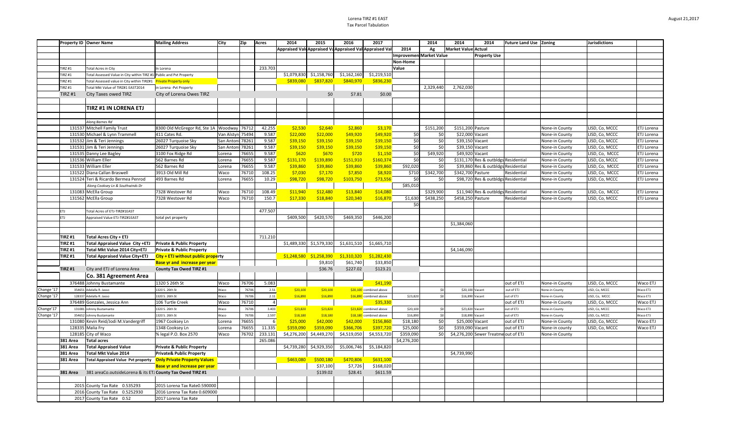#### Lorena TIRZ #1 EAST Tax Parcel Tabulation

|            |               | Property ID Owner Name                                                 | <b>Mailing Address</b>                     | City             | Zip   | Acres          | 2014                                                    | 2015                      | 2016        | 2017                    |                         | 2014      | 2014                       | 2014                                 | Future Land Use Zoning |                       | Jurisdictions  |            |
|------------|---------------|------------------------------------------------------------------------|--------------------------------------------|------------------|-------|----------------|---------------------------------------------------------|---------------------------|-------------|-------------------------|-------------------------|-----------|----------------------------|--------------------------------------|------------------------|-----------------------|----------------|------------|
|            |               |                                                                        |                                            |                  |       |                | Appraised Valı Appraised Va Appraised Val Appraised Val |                           |             |                         | 2014                    | Ag        | <b>Market Value Actual</b> |                                      |                        |                       |                |            |
|            |               |                                                                        |                                            |                  |       |                |                                                         |                           |             |                         | Improvemen Market Value |           |                            | <b>Property Use</b>                  |                        |                       |                |            |
|            |               |                                                                        |                                            |                  |       |                |                                                         |                           |             |                         | Non-Home                |           |                            |                                      |                        |                       |                |            |
|            | <b>TIRZ#1</b> | <b>Total Acres in City</b>                                             | In Lorena                                  |                  |       | 233.703        |                                                         |                           |             |                         | Value                   |           |                            |                                      |                        |                       |                |            |
|            | <b>TIRZ#1</b> | Fotal Assessed Value in City within TIRZ #1 Public and Pvt Property    |                                            |                  |       |                | \$1,079,830                                             | \$1,158,760               | \$1,162,160 | \$1,219,510             |                         |           |                            |                                      |                        |                       |                |            |
|            | TIRZ #1       | otal Assessed value in City within TIRZ#1                              | <b>Private Property only</b>               |                  |       |                | \$839,080                                               | \$837,820                 | \$840,970   | \$836,230               |                         |           |                            |                                      |                        |                       |                |            |
|            | <b>TIRZ#1</b> | Total Mkt Value of TIRZ#1 EAST2014                                     | in Lorena -Pvt Property                    |                  |       |                |                                                         |                           |             |                         |                         | 2,329,440 | 2,762,030                  |                                      |                        |                       |                |            |
|            | <b>TIRZ#1</b> | City Taxes owed TIRZ                                                   | City of Lorena Owes TIRZ                   |                  |       |                |                                                         | \$0                       | \$7.81      | \$0.00                  |                         |           |                            |                                      |                        |                       |                |            |
|            |               |                                                                        |                                            |                  |       |                |                                                         |                           |             |                         |                         |           |                            |                                      |                        |                       |                |            |
|            |               | TIRZ #1 IN LORENA ETJ                                                  |                                            |                  |       |                |                                                         |                           |             |                         |                         |           |                            |                                      |                        |                       |                |            |
|            |               |                                                                        |                                            |                  |       |                |                                                         |                           |             |                         |                         |           |                            |                                      |                        |                       |                |            |
|            |               | Along Barnes Rd                                                        |                                            |                  |       |                |                                                         |                           |             |                         |                         |           |                            |                                      |                        |                       |                |            |
|            |               | 131537 Mitchell Family Trust                                           | 8300 Old McGregor Rd, Ste 1A Woodway 76712 |                  |       | 42.255         | \$2,530                                                 | \$2,640                   | \$2,860     | \$3,170                 |                         | \$151,200 | \$151,200 Pasture          |                                      |                        | None-in County        | LISD, Co, MCCC | ETJ Lorena |
|            |               | 131530 Michael & Lynn Trammell                                         | 411 Cates Rd.                              | Van Alstyn 75494 |       | 9.587          | \$22,000                                                | \$22,000                  | \$49,920    | \$49,920                | \$0                     | \$0       | \$22,000 Vacant            |                                      |                        | None-in County        | LISD, Co, MCCC | ETJ Lorena |
|            |               | 131532 Jim & Teri Jennings                                             | 26027 Turquoise Sky                        | San Antoni 78261 |       | 9.587          | \$39,150                                                | \$39,150                  | \$39,150    | \$39,150                | \$0                     | \$0       | \$39,150 Vacant            |                                      |                        | None-in County        | LISD, Co, MCCC | ETJ Lorena |
|            |               | 131531 Jim & Teri Jennings                                             | 26027 Turquoise Sky                        | San Antoni       | 78261 | 9.587          | \$39,150                                                | \$39,150                  | \$39,150    | \$39,150                | \$0                     | \$0       | \$39,150 Vacant            |                                      |                        | None-in County        | LISD, Co, MCCC | ETJ Lorena |
|            |               | 131535 Danny Lee Bagley                                                | 3100 Fox Ridge Rd                          | Lorena           | 76655 | 9.587          | \$620                                                   | \$670                     | \$720       | \$1,150                 | \$0                     | \$49,920  | \$49,920 Vacant            |                                      |                        | None-in County        | LISD, Co, MCCC | ETJ Lorena |
|            |               | 131536 William Eller                                                   | 562 Barnes Rd                              | Lorena           | 76655 | 9.587          | \$131,170                                               | \$139,890                 | \$151,910   | \$160,374               | \$0                     | \$0       |                            | \$131,170 Res & outbldgs Residential |                        | None-in County        | LISD, Co, MCCC | ETJ Lorena |
|            |               | 131533 William Eller                                                   | 562 Barnes Rd                              | Lorena           | 76655 | 9.587          | \$39,860                                                | \$39,860                  | \$39,860    | \$39,860                | \$92,020                | \$0       |                            | \$39,860 Res & outbldgs Residentia   |                        | None-in County        | ISD, Co, MCCC  | ETJ Lorena |
|            |               | 131522 Diana Callan Braswell                                           | 3913 Old Mill Rd                           | Waco             | 76710 | 108.25         | \$7,030                                                 | \$7,170                   | \$7,850     | \$8,920                 | \$710                   | \$342,700 | \$342,700 Pasture          |                                      | Residential            | None-in County        | LISD, Co, MCCC | ETJ Lorena |
|            |               | 131524 Teri & Ricardo Bermea Penrod                                    | 493 Barnes Rd                              | Lorena           | 76655 | 10.29          | \$98,720                                                | \$98,720                  | \$103,750   | \$73,556                | \$0                     | \$0       |                            | \$98,720 Res & outbidgs Residential  |                        | None-in County        | LISD, Co, MCCC | ETJ Lorena |
|            |               | Along Cooksey Ln & Southwinds Dr                                       |                                            |                  |       |                |                                                         |                           |             |                         | \$85,010                |           |                            |                                      |                        |                       |                |            |
|            |               | 131083 McElla Group                                                    | 7328 Westover Rd                           | Waco             | 76710 | 108.49         | \$11,940                                                | \$12,480                  | \$13,840    | \$14,080                |                         | \$329,900 |                            | \$11,940 Res & outbldgs Residential  |                        | None-in County        | LISD, Co, MCCC | ETJ Lorena |
|            |               | 131562 McElla Group                                                    | 7328 Westover Rd                           | Waco             | 76710 | 150.7          | \$17,330                                                | \$18,840                  | \$20,340    | \$16,870                | \$1,630                 | \$438,250 | \$458,250 Pasture          |                                      | Residential            | None-in County        | LISD, Co, MCCC | ETJ Lorena |
|            |               |                                                                        |                                            |                  |       |                |                                                         |                           |             |                         | \$0                     |           |                            |                                      |                        |                       |                |            |
| ETJ        |               | Total Acres of ETJ-TIRZ#1EAST                                          |                                            |                  |       | 477.507        |                                                         |                           |             |                         |                         |           |                            |                                      |                        |                       |                |            |
| ETJ        |               | Appraised Value ETJ-TIRZ#1EAST                                         | total pvt property                         |                  |       |                | \$409,500                                               | \$420,570                 | \$469,350   | \$446,200               |                         |           |                            |                                      |                        |                       |                |            |
|            |               |                                                                        |                                            |                  |       |                |                                                         |                           |             |                         |                         |           | \$1,384,060                |                                      |                        |                       |                |            |
|            |               |                                                                        |                                            |                  |       |                |                                                         |                           |             |                         |                         |           |                            |                                      |                        |                       |                |            |
|            | <b>TIRZ#1</b> | <b>Total Acres City + ETJ</b>                                          |                                            |                  |       | 711.210        |                                                         |                           |             |                         |                         |           |                            |                                      |                        |                       |                |            |
|            | <b>TIRZ#1</b> | Total Appraised Value City +ETJ Private & Public Property              |                                            |                  |       |                |                                                         | \$1,489,330 \$1,579,330   | \$1,631,510 | \$1,665,710             |                         |           |                            |                                      |                        |                       |                |            |
|            | <b>TIRZ#1</b> | Total Mkt Value 2014 City+ETJ                                          | <b>Private &amp; Public Property</b>       |                  |       |                |                                                         |                           |             |                         |                         |           | \$4,146,090                |                                      |                        |                       |                |            |
|            | <b>TIRZ#1</b> | <b>Total Appraised Value City+ETJ</b>                                  | City + ETJ without public property         |                  |       |                |                                                         | $$1,248,580$ $$1,258,390$ | \$1,310,320 | \$1,282,430             |                         |           |                            |                                      |                        |                       |                |            |
|            |               |                                                                        | <b>Base yr and increase per year</b>       |                  |       |                |                                                         | \$9,810                   | \$61,740    | \$33,850                |                         |           |                            |                                      |                        |                       |                |            |
|            | <b>TIRZ#1</b> | City and ETJ of Lorena Area                                            | <b>County Tax Owed TIRZ #1</b>             |                  |       |                |                                                         | \$36.76                   | \$227.02    | \$123.21                |                         |           |                            |                                      |                        |                       |                |            |
|            |               | Co. 381 Agreement Area                                                 |                                            |                  |       |                |                                                         |                           |             |                         |                         |           |                            |                                      |                        |                       |                |            |
|            |               | 376488 Johnny Bustamante                                               | 1320 S 26th St                             | Waco             | 76706 | 5.083          |                                                         |                           |             | \$41,190                |                         |           |                            |                                      | out of ETJ             | None-in County        | LISD, Co, MCCC | Waco ETJ   |
| Change '17 | 354651        | Adelalla R. Jasso                                                      | 1320 S. 26th St                            | Waco             | 76706 | 2.51           | \$20,100                                                | \$20,100                  |             | \$20,100 combined above |                         | \$0       | \$20,100 Vacant            |                                      | out of ETJ             | None-in County        | LISD, Co, MCCC | Waco ETJ   |
| Change '17 |               | 128337 Adelalla R. Jasso                                               | 1320 S. 26th St                            | Waco             | 76706 | 2.11           | \$16,890                                                | \$16,890                  |             | \$16,890 combined above | \$23,820                | \$0       | \$16,890 Vacant            |                                      | out of ETJ             | <b>Vone-in County</b> | ISD, Co, MCCC  | Waco ETJ   |
|            |               | 376489 Gonzales, Jessica Ann                                           | 106 Turtle Creek                           | Waco             | 76710 | $\overline{a}$ |                                                         |                           |             | \$35,330                |                         |           |                            |                                      | out of ETJ             | None-in County        | LISD, Co, MCCC | Waco ETJ   |
| Change'17  |               | 131081 Johnny Bustamante                                               | 1320 S. 26th St                            | Waco             | 76706 | 3.403          | \$23,820                                                | \$23,820                  |             | \$23,820 combined above | \$20,100                | \$0       | \$23,820 Vacant            |                                      | out of ETJ             | <b>Vone-in County</b> | ISD, Co, MCCC  | Waco ETJ   |
| Change '17 |               | 354652 Johnny Bustamante                                               | 1320 S. 26th St                            | Waco             | 76706 | 2.597          | \$18,180                                                | \$18,180                  |             | \$18,180 combined above | \$16,890                | \$0       | \$18,890 Vacant            |                                      | out of ETJ             | Ione-in County        | ISD, Co, MCCC  | Waco ETJ   |
|            |               | 131080 Kevin Reid/Jodi M.Vandergriff                                   | 1967 Cooksey Ln                            | Lorena           | 76655 | 6              | \$25,000                                                | \$42,000                  | \$42,000    | \$156,86                | \$18,180                | \$0       | \$25,000 Vacant            |                                      | out of ETJ             | None-in County        | LISD, Co, MCCC | Waco ETJ   |
|            |               | 128335 Malia Fry                                                       | 1348 Cooksey Ln                            | Lorena           | 76655 | 11.335         | \$359,090                                               | \$359,090                 | \$366,706   | \$397,720               | \$25,000                | \$0       | \$359,090 Vacant           |                                      | out of ETJ             | None-in county        | ISD, Co, MCCC  | Waco ETJ   |
|            |               | 128185 City of Waco                                                    | % legal P.O. Box 2570                      | Waco             | 76702 | 233.131        | \$4,276,200                                             | \$4,449,270               | \$4,519,050 | \$4,553,720             | \$359,090               | \$0       |                            | \$4,276,200 Sewer Treatme out of ETJ |                        | None-in County        |                |            |
|            | 381 Area      | <b>Total acres</b>                                                     |                                            |                  |       | 265.086        |                                                         |                           |             |                         | \$4,276,200             |           |                            |                                      |                        |                       |                |            |
|            | 381 Area      | <b>Total Appraised Value</b>                                           | <b>Private &amp; Public Property</b>       |                  |       |                | \$4,739,280                                             | \$4,929,350               | \$5,006,746 | \$5,184,820             |                         |           |                            |                                      |                        |                       |                |            |
|            | 381 Area      | Total Mkt Value 2014                                                   | <b>Private&amp; Public Property</b>        |                  |       |                |                                                         |                           |             |                         |                         |           | \$4,739,990                |                                      |                        |                       |                |            |
|            | 381 Area      | Total Appraised Value Pvt property <b>Only Private Property Values</b> |                                            |                  |       |                | \$463,080                                               | \$500,180                 | \$470,806   | \$631,100               |                         |           |                            |                                      |                        |                       |                |            |
|            |               |                                                                        | <b>Base yr and increase per year</b>       |                  |       |                |                                                         | \$37,100                  | \$7,726     | \$168,020               |                         |           |                            |                                      |                        |                       |                |            |
|            | 381 Area      | 381 areaCo.outsideLorena & its ETJ County Tax Owed TIRZ #1             |                                            |                  |       |                |                                                         | \$139.02                  | \$28.41     | \$611.59                |                         |           |                            |                                      |                        |                       |                |            |
|            |               |                                                                        |                                            |                  |       |                |                                                         |                           |             |                         |                         |           |                            |                                      |                        |                       |                |            |
|            |               | 2015 County Tax Rate 0.535293                                          | 2015 Lorena Tax Rate0.590000               |                  |       |                |                                                         |                           |             |                         |                         |           |                            |                                      |                        |                       |                |            |
|            |               | 2016 County Tax Rate 0.5252930                                         | 2016 Lorena Tax Rate 0.609000              |                  |       |                |                                                         |                           |             |                         |                         |           |                            |                                      |                        |                       |                |            |
|            |               | 2017 County Tax Rate 0.52                                              | 2017 Lorena Tax Rate                       |                  |       |                |                                                         |                           |             |                         |                         |           |                            |                                      |                        |                       |                |            |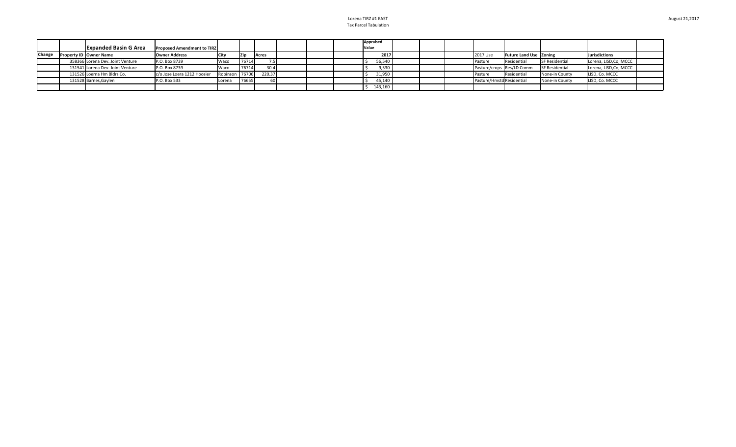Lorena TIRZ #1 EAST Tax Parcel Tabulation

|        |                                  |                                   |                |       |              |  | Appraised |  |                           |                               |                       |                        |
|--------|----------------------------------|-----------------------------------|----------------|-------|--------------|--|-----------|--|---------------------------|-------------------------------|-----------------------|------------------------|
|        | <b>Expanded Basin G Area</b>     | <b>Proposed Amendment to TIRZ</b> |                |       |              |  | Value     |  |                           |                               |                       |                        |
| Change | <b>Property ID Owner Name</b>    | Owner Address                     |                | Zin   | <b>Acres</b> |  | 2017      |  | 2017 Use                  | <b>Future Land Use Zoning</b> |                       | Jurisdictions          |
|        | 358366 Lorena Dev. Joint Venture | P.O. Box 8739                     | Waco           | 76714 |              |  | 56,540    |  | l Pasture                 | Residential                   | <b>SF Residential</b> | Lorena, LISD, Co, MCCC |
|        | 131541 Lorena Dev. Joint Venture | P.O. Box 8739                     | Waco           | 76714 | 30.4         |  | 9,530     |  |                           | Pasture/crops Res/LD Comm     | <b>SF Residential</b> | Lorena, LISD, Co, MCCC |
|        | 131526 Loerna Hm Bldrs Co.       | c/o Jose Loera 1212 Hoosier       | Robinson 76706 |       | 220.37       |  | 31,950    |  | <b>Pasture</b>            | Residential                   | None-in County        | LISD, Co. MCCC         |
|        | 131528 Barnes, Gaylen            | P.O. Box 533                      | Lorena         | 76655 |              |  | 45,140    |  | Pasture/Hmstd Residential |                               | None-in County        | LISD, Co. MCCC         |
|        |                                  |                                   |                |       |              |  | 143,160   |  |                           |                               |                       |                        |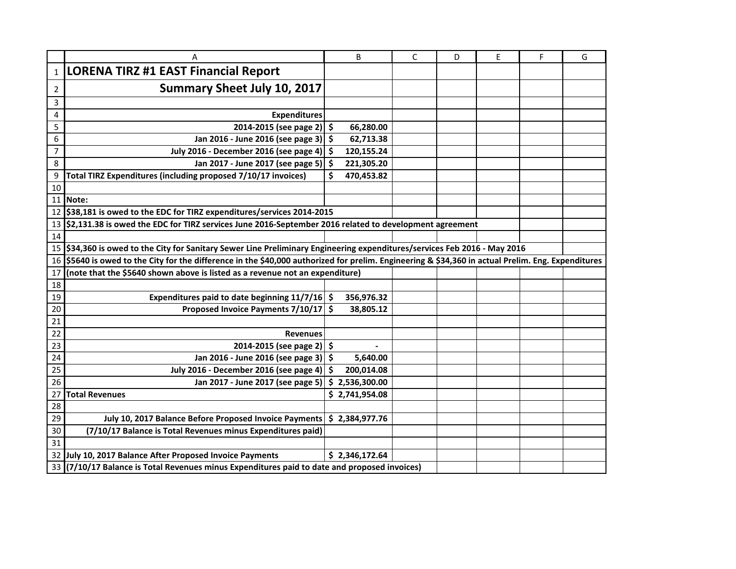|                | A                                                                                                                                               |     | B                        | C | D | E | F | G |  |  |
|----------------|-------------------------------------------------------------------------------------------------------------------------------------------------|-----|--------------------------|---|---|---|---|---|--|--|
| $\mathbf{1}$   | <b>LORENA TIRZ #1 EAST Financial Report</b>                                                                                                     |     |                          |   |   |   |   |   |  |  |
| 2              | <b>Summary Sheet July 10, 2017</b>                                                                                                              |     |                          |   |   |   |   |   |  |  |
| 3              |                                                                                                                                                 |     |                          |   |   |   |   |   |  |  |
| 4              | <b>Expenditures</b>                                                                                                                             |     |                          |   |   |   |   |   |  |  |
| 5              | 2014-2015 (see page 2)                                                                                                                          | \$  | 66,280.00                |   |   |   |   |   |  |  |
| 6              | Jan 2016 - June 2016 (see page 3)                                                                                                               | \$  | 62,713.38                |   |   |   |   |   |  |  |
| $\overline{7}$ | July 2016 - December 2016 (see page 4)                                                                                                          | \$  | 120,155.24               |   |   |   |   |   |  |  |
| 8              | Jan 2017 - June 2017 (see page 5)                                                                                                               | \$  | 221,305.20               |   |   |   |   |   |  |  |
| 9              | Total TIRZ Expenditures (including proposed 7/10/17 invoices)                                                                                   | \$  | 470,453.82               |   |   |   |   |   |  |  |
| 10             |                                                                                                                                                 |     |                          |   |   |   |   |   |  |  |
|                | 11   Note:                                                                                                                                      |     |                          |   |   |   |   |   |  |  |
|                | 12 \$38,181 is owed to the EDC for TIRZ expenditures/services 2014-2015                                                                         |     |                          |   |   |   |   |   |  |  |
| 13             | \$2,131.38 is owed the EDC for TIRZ services June 2016-September 2016 related to development agreement                                          |     |                          |   |   |   |   |   |  |  |
| 14             |                                                                                                                                                 |     |                          |   |   |   |   |   |  |  |
|                | 15 \$34,360 is owed to the City for Sanitary Sewer Line Preliminary Engineering expenditures/services Feb 2016 - May 2016                       |     |                          |   |   |   |   |   |  |  |
| 16             | \$5640 is owed to the City for the difference in the \$40,000 authorized for prelim. Engineering & \$34,360 in actual Prelim. Eng. Expenditures |     |                          |   |   |   |   |   |  |  |
| 17             | (note that the \$5640 shown above is listed as a revenue not an expenditure)                                                                    |     |                          |   |   |   |   |   |  |  |
| 18             |                                                                                                                                                 |     |                          |   |   |   |   |   |  |  |
| 19             | Expenditures paid to date beginning 11/7/16                                                                                                     | .s  | 356,976.32               |   |   |   |   |   |  |  |
| 20             | Proposed Invoice Payments 7/10/17 \$                                                                                                            |     | 38,805.12                |   |   |   |   |   |  |  |
| 21             |                                                                                                                                                 |     |                          |   |   |   |   |   |  |  |
| 22             | <b>Revenues</b>                                                                                                                                 |     |                          |   |   |   |   |   |  |  |
| 23             | 2014-2015 (see page 2) \$                                                                                                                       |     | $\overline{\phantom{a}}$ |   |   |   |   |   |  |  |
| 24             | Jan 2016 - June 2016 (see page 3)                                                                                                               | -\$ | 5,640.00                 |   |   |   |   |   |  |  |
| 25             | July 2016 - December 2016 (see page 4)                                                                                                          | \$  | 200,014.08               |   |   |   |   |   |  |  |
| 26             | Jan 2017 - June 2017 (see page 5)                                                                                                               | \$  | 2,536,300.00             |   |   |   |   |   |  |  |
| 27             | <b>Total Revenues</b>                                                                                                                           |     | \$2,741,954.08           |   |   |   |   |   |  |  |
| 28             |                                                                                                                                                 |     |                          |   |   |   |   |   |  |  |
| 29             | July 10, 2017 Balance Before Proposed Invoice Payments                                                                                          |     | \$2,384,977.76           |   |   |   |   |   |  |  |
| 30             | (7/10/17 Balance is Total Revenues minus Expenditures paid)                                                                                     |     |                          |   |   |   |   |   |  |  |
| 31             |                                                                                                                                                 |     |                          |   |   |   |   |   |  |  |
|                | 32 July 10, 2017 Balance After Proposed Invoice Payments                                                                                        |     | \$2,346,172.64           |   |   |   |   |   |  |  |
|                | 33 (7/10/17 Balance is Total Revenues minus Expenditures paid to date and proposed invoices)                                                    |     |                          |   |   |   |   |   |  |  |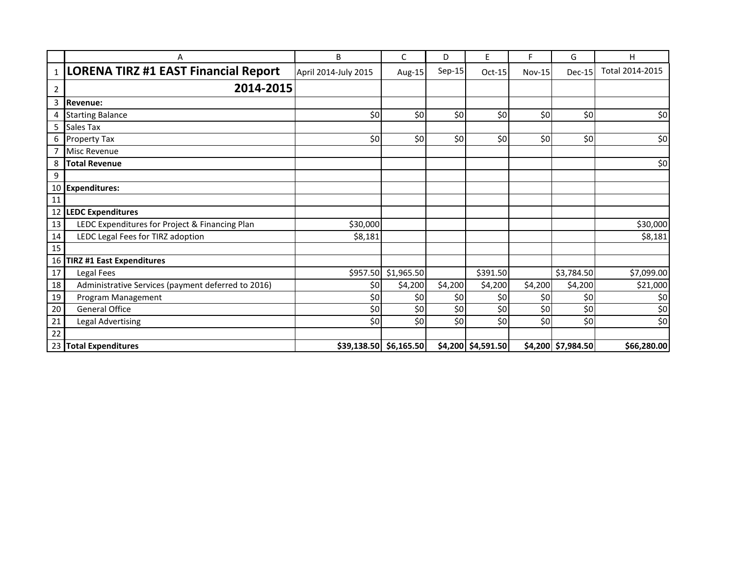|    | Α                                                  | B                    | C                        | D        | E                  | F             | G                  | H               |
|----|----------------------------------------------------|----------------------|--------------------------|----------|--------------------|---------------|--------------------|-----------------|
| 1  | <b>LORENA TIRZ #1 EAST Financial Report</b>        | April 2014-July 2015 | Aug-15                   | $Sep-15$ | $Oct-15$           | <b>Nov-15</b> | Dec-15             | Total 2014-2015 |
| 2  | 2014-2015                                          |                      |                          |          |                    |               |                    |                 |
| 3  | Revenue:                                           |                      |                          |          |                    |               |                    |                 |
|    | <b>Starting Balance</b>                            | \$0                  | \$0                      | \$0      | \$0                | \$0           | \$0                | \$0             |
| 5  | Sales Tax                                          |                      |                          |          |                    |               |                    |                 |
| 6  | Property Tax                                       | 50                   | \$0                      | \$0      | \$0                | \$0           | \$0                | \$0             |
|    | <b>Misc Revenue</b>                                |                      |                          |          |                    |               |                    |                 |
| 8  | <b>Total Revenue</b>                               |                      |                          |          |                    |               |                    | \$0             |
| 9  |                                                    |                      |                          |          |                    |               |                    |                 |
|    | 10 Expenditures:                                   |                      |                          |          |                    |               |                    |                 |
| 11 |                                                    |                      |                          |          |                    |               |                    |                 |
| 12 | <b>LEDC Expenditures</b>                           |                      |                          |          |                    |               |                    |                 |
| 13 | LEDC Expenditures for Project & Financing Plan     | \$30,000             |                          |          |                    |               |                    | \$30,000        |
| 14 | LEDC Legal Fees for TIRZ adoption                  | \$8,181              |                          |          |                    |               |                    | \$8,181         |
| 15 |                                                    |                      |                          |          |                    |               |                    |                 |
| 16 | <b>TIRZ #1 East Expenditures</b>                   |                      |                          |          |                    |               |                    |                 |
| 17 | Legal Fees                                         | \$957.50             | \$1,965.50               |          | \$391.50           |               | \$3,784.50         | \$7,099.00      |
| 18 | Administrative Services (payment deferred to 2016) | \$0                  | \$4,200                  | \$4,200  | \$4,200            | \$4,200       | \$4,200            | \$21,000        |
| 19 | Program Management                                 | \$0                  | \$0                      | \$0      | \$0                | \$0           | \$0                | \$0             |
| 20 | <b>General Office</b>                              | \$0                  | \$0                      | \$0      | \$0                | \$0           | \$0                | \$0             |
| 21 | <b>Legal Advertising</b>                           | \$0                  | \$0                      | \$0      | \$0                | 50            | \$0                | \$0             |
| 22 |                                                    |                      |                          |          |                    |               |                    |                 |
|    | 23 Total Expenditures                              |                      | $$39,138.50$ $$6,165.50$ |          | \$4,200 \$4,591.50 |               | \$4,200 \$7,984.50 | \$66,280.00     |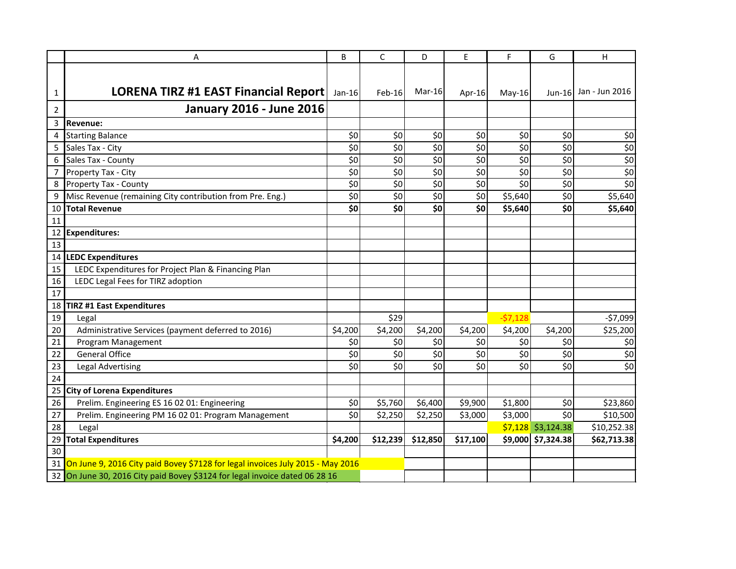|                | Α                                                                                 | B        | $\mathsf{C}$ | D        | E               | E         | G          | Н                     |
|----------------|-----------------------------------------------------------------------------------|----------|--------------|----------|-----------------|-----------|------------|-----------------------|
|                |                                                                                   |          |              |          |                 |           |            |                       |
| 1              | LORENA TIRZ #1 EAST Financial Report                                              | $Jan-16$ | Feb-16       | Mar-16   | Apr-16          | $May-16$  |            | Jun-16 Jan - Jun 2016 |
| $\overline{2}$ | <b>January 2016 - June 2016</b>                                                   |          |              |          |                 |           |            |                       |
| 3              | <b>Revenue:</b>                                                                   |          |              |          |                 |           |            |                       |
| 4              | <b>Starting Balance</b>                                                           | \$0      | \$0          | \$0      | \$0             | \$0       | \$0        | \$0                   |
| 5              | Sales Tax - City                                                                  | \$0      | \$0          | \$0      | $\overline{50}$ | \$0       | \$0        | \$0                   |
| 6              | Sales Tax - County                                                                | \$0      | \$0          | \$0      | \$0             | \$0       | \$0        | \$0                   |
| 7              | Property Tax - City                                                               | \$0      | \$0          | \$0      | \$0             | \$0       | \$0        | \$0                   |
| 8              | Property Tax - County                                                             | \$0      | \$0          | \$0      | \$0             | \$0       | \$0        | \$0                   |
| 9              | Misc Revenue (remaining City contribution from Pre. Eng.)                         | \$0      | \$0          | \$0      | \$0             | \$5,640   | \$0        | \$5,640               |
| 10             | <b>Total Revenue</b>                                                              | \$0      | \$0          | \$0      | \$0             | \$5,640   | \$0        | \$5,640               |
| 11             |                                                                                   |          |              |          |                 |           |            |                       |
| 12             | <b>Expenditures:</b>                                                              |          |              |          |                 |           |            |                       |
| 13             |                                                                                   |          |              |          |                 |           |            |                       |
| 14             | <b>LEDC Expenditures</b>                                                          |          |              |          |                 |           |            |                       |
| 15             | LEDC Expenditures for Project Plan & Financing Plan                               |          |              |          |                 |           |            |                       |
| 16             | LEDC Legal Fees for TIRZ adoption                                                 |          |              |          |                 |           |            |                       |
| 17             |                                                                                   |          |              |          |                 |           |            |                       |
| 18             | <b>TIRZ #1 East Expenditures</b>                                                  |          |              |          |                 |           |            |                       |
| 19             | Legal                                                                             |          | \$29         |          |                 | $-57,128$ |            | $-57,099$             |
| 20             | Administrative Services (payment deferred to 2016)                                | \$4,200  | \$4,200      | \$4,200  | \$4,200         | \$4,200   | \$4,200    | \$25,200              |
| 21             | Program Management                                                                | \$0      | \$0          | \$0      | \$0             | \$0       | \$0        | \$0                   |
| 22             | <b>General Office</b>                                                             | \$0      | \$0          | \$0      | \$0             | \$0       | \$0        | \$0                   |
| 23             | <b>Legal Advertising</b>                                                          | \$0      | \$0          | \$0      | \$0             | \$0       | \$0        | \$0                   |
| 24             |                                                                                   |          |              |          |                 |           |            |                       |
| 25             | <b>City of Lorena Expenditures</b>                                                |          |              |          |                 |           |            |                       |
| 26             | Prelim. Engineering ES 16 02 01: Engineering                                      | \$0      | \$5,760      | \$6,400  | \$9,900         | \$1,800   | \$0        | \$23,860              |
| 27             | Prelim. Engineering PM 16 02 01: Program Management                               | \$0      | \$2,250      | \$2,250  | \$3,000         | \$3,000   | \$0        | \$10,500              |
| 28             | Legal                                                                             |          |              |          |                 | \$7,128   | \$3,124.38 | \$10,252.38           |
| 29             | <b>Total Expenditures</b>                                                         | \$4,200  | \$12,239     | \$12,850 | \$17,100        | \$9,000   | \$7,324.38 | \$62,713.38           |
| 30             |                                                                                   |          |              |          |                 |           |            |                       |
|                | 31 On June 9, 2016 City paid Bovey \$7128 for legal invoices July 2015 - May 2016 |          |              |          |                 |           |            |                       |
|                | 32 On June 30, 2016 City paid Bovey \$3124 for legal invoice dated 06 28 16       |          |              |          |                 |           |            |                       |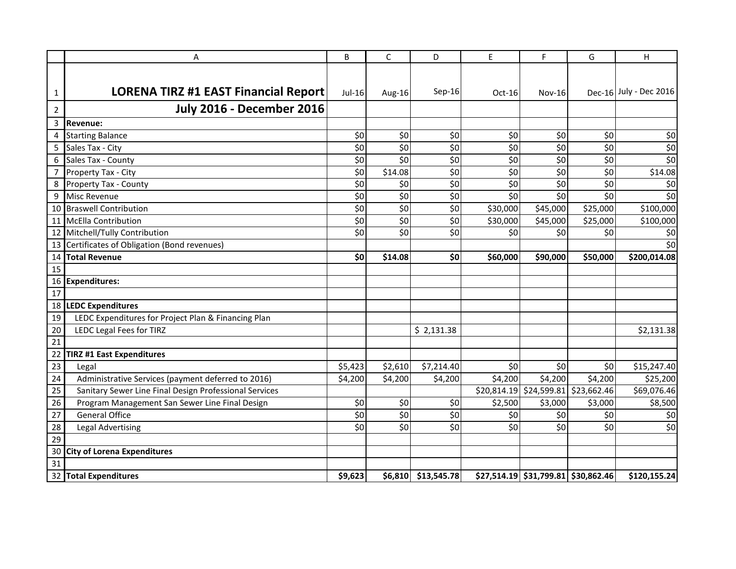|                | Α                                                      | B       | $\mathsf C$ | D           | E           | F                                      | G           | Н                      |
|----------------|--------------------------------------------------------|---------|-------------|-------------|-------------|----------------------------------------|-------------|------------------------|
| 1              | <b>LORENA TIRZ #1 EAST Financial Report</b>            | Jul-16  | Aug-16      | $Sep-16$    | $Oct-16$    | <b>Nov-16</b>                          |             | Dec-16 July - Dec 2016 |
| $\overline{2}$ | <b>July 2016 - December 2016</b>                       |         |             |             |             |                                        |             |                        |
| 3              | <b>Revenue:</b>                                        |         |             |             |             |                                        |             |                        |
| 4              | <b>Starting Balance</b>                                | \$0     | \$0         | \$0         | \$0         | \$0                                    | \$0         | \$0                    |
| 5              | Sales Tax - City                                       | \$0     | \$0         | \$0         | \$0         | \$0                                    | \$0         | \$0                    |
| 6              | Sales Tax - County                                     | \$0     | \$0         | \$0         | \$0         | \$0                                    | 50          | $\overline{\xi}$       |
|                | Property Tax - City                                    | \$0     | \$14.08     | \$0         | \$0         | \$0                                    | \$0         | \$14.08                |
| 8              | <b>Property Tax - County</b>                           | \$0     | \$0         | \$0         | \$0         | \$0                                    | \$0         | \$0                    |
| 9              | Misc Revenue                                           | \$0     | \$0         | \$0         | \$0         | \$0                                    | \$0         | \$0                    |
| 10             | <b>Braswell Contribution</b>                           | \$0     | \$0         | \$0         | \$30,000    | \$45,000                               | \$25,000    | \$100,000              |
| 11             | McElla Contribution                                    | \$0     | \$0         | \$0         | \$30,000    | \$45,000                               | \$25,000    | \$100,000              |
|                | 12 Mitchell/Tully Contribution                         | \$0     | \$0         | \$0         | \$0         | \$0                                    | \$0         | \$0                    |
|                | 13 Certificates of Obligation (Bond revenues)          |         |             |             |             |                                        |             | \$0                    |
| 14             | <b>Total Revenue</b>                                   | \$0     | \$14.08     | \$0         | \$60,000    | \$90,000                               | \$50,000    | \$200,014.08           |
| 15             |                                                        |         |             |             |             |                                        |             |                        |
|                | 16 Expenditures:                                       |         |             |             |             |                                        |             |                        |
| 17             |                                                        |         |             |             |             |                                        |             |                        |
|                | 18 LEDC Expenditures                                   |         |             |             |             |                                        |             |                        |
| 19             | LEDC Expenditures for Project Plan & Financing Plan    |         |             |             |             |                                        |             |                        |
| 20             | LEDC Legal Fees for TIRZ                               |         |             | \$2,131.38  |             |                                        |             | \$2,131.38             |
| 21             |                                                        |         |             |             |             |                                        |             |                        |
| 22             | <b>TIRZ #1 East Expenditures</b>                       |         |             |             |             |                                        |             |                        |
| 23             | Legal                                                  | \$5,423 | \$2,610     | \$7,214.40  | \$0         | \$0                                    | \$0         | \$15,247.40            |
| 24             | Administrative Services (payment deferred to 2016)     | \$4,200 | \$4,200     | \$4,200     | \$4,200     | \$4,200                                | \$4,200     | \$25,200               |
| 25             | Sanitary Sewer Line Final Design Professional Services |         |             |             | \$20,814.19 | \$24,599.81                            | \$23,662.46 | \$69,076.46            |
| 26             | Program Management San Sewer Line Final Design         | \$0     | \$0         | \$0         | \$2,500     | \$3,000                                | \$3,000     | \$8,500                |
| 27             | <b>General Office</b>                                  | \$0     | \$0         | \$0         | \$0         | \$0                                    | \$0         | \$0                    |
| 28             | <b>Legal Advertising</b>                               | \$0     | \$0         | \$0         | \$0         | \$0                                    | \$0         | \$0                    |
| 29             |                                                        |         |             |             |             |                                        |             |                        |
|                | 30 City of Lorena Expenditures                         |         |             |             |             |                                        |             |                        |
| 31             |                                                        |         |             |             |             |                                        |             |                        |
|                | 32 Total Expenditures                                  | \$9,623 | \$6,810     | \$13,545.78 |             | $$27,514.19$ $$31,799.81$ $$30,862.46$ |             | \$120,155.24           |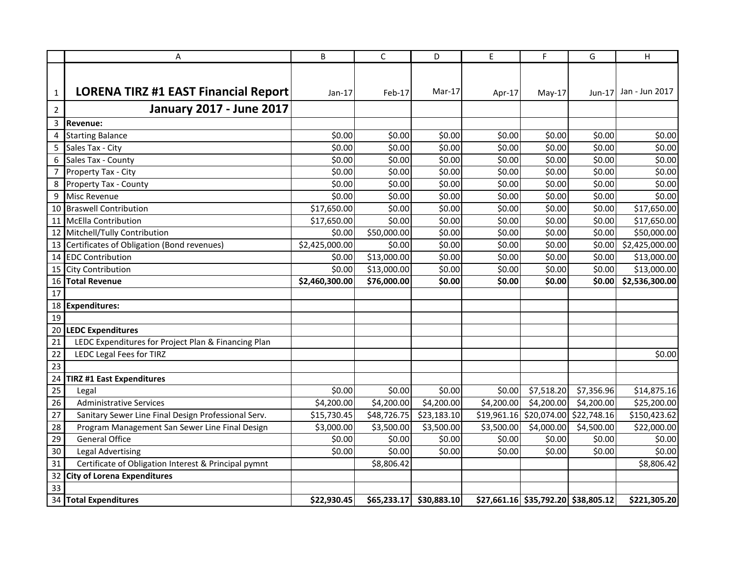|                 | A                                                    | B              | $\mathsf{C}$ | D           | E          | F                                      | G          | H              |
|-----------------|------------------------------------------------------|----------------|--------------|-------------|------------|----------------------------------------|------------|----------------|
|                 |                                                      |                |              |             |            |                                        |            |                |
|                 |                                                      |                |              | $Mar-17$    |            |                                        |            | Jan - Jun 2017 |
| $\mathbf{1}$    | <b>LORENA TIRZ #1 EAST Financial Report</b>          | $Jan-17$       | Feb-17       |             | Apr-17     | $May-17$                               | $Jun-17$   |                |
| $\overline{2}$  | <b>January 2017 - June 2017</b>                      |                |              |             |            |                                        |            |                |
| 3               | <b>Revenue:</b>                                      |                |              |             |            |                                        |            |                |
| 4               | <b>Starting Balance</b>                              | \$0.00         | \$0.00       | \$0.00      | \$0.00     | \$0.00                                 | \$0.00     | \$0.00         |
| 5               | Sales Tax - City                                     | \$0.00         | \$0.00       | \$0.00      | \$0.00     | \$0.00                                 | \$0.00     | \$0.00         |
| 6               | Sales Tax - County                                   | \$0.00         | \$0.00       | \$0.00      | \$0.00     | \$0.00                                 | \$0.00     | \$0.00         |
| $\overline{7}$  | Property Tax - City                                  | \$0.00         | \$0.00       | \$0.00      | \$0.00     | \$0.00                                 | \$0.00     | \$0.00         |
| 8               | Property Tax - County                                | \$0.00         | \$0.00       | \$0.00      | \$0.00     | \$0.00                                 | \$0.00     | \$0.00         |
| 9               | Misc Revenue                                         | \$0.00         | \$0.00       | \$0.00      | \$0.00     | \$0.00                                 | \$0.00     | \$0.00         |
|                 | 10 Braswell Contribution                             | \$17,650.00    | \$0.00       | \$0.00      | \$0.00     | \$0.00                                 | \$0.00     | \$17,650.00    |
|                 | 11 McElla Contribution                               | \$17,650.00    | \$0.00       | \$0.00      | \$0.00     | \$0.00                                 | \$0.00     | \$17,650.00    |
|                 | 12 Mitchell/Tully Contribution                       | \$0.00         | \$50,000.00  | \$0.00      | \$0.00     | \$0.00                                 | \$0.00     | \$50,000.00    |
| 13              | Certificates of Obligation (Bond revenues)           | \$2,425,000.00 | \$0.00       | \$0.00      | \$0.00     | \$0.00                                 | \$0.00     | \$2,425,000.00 |
| 14              | <b>EDC Contribution</b>                              | \$0.00         | \$13,000.00  | \$0.00      | \$0.00     | \$0.00                                 | \$0.00     | \$13,000.00    |
| 15              | City Contribution                                    | \$0.00         | \$13,000.00  | \$0.00      | \$0.00     | \$0.00                                 | \$0.00     | \$13,000.00    |
| 16              | <b>Total Revenue</b>                                 | \$2,460,300.00 | \$76,000.00  | \$0.00      | \$0.00     | \$0.00                                 | \$0.00     | \$2,536,300.00 |
| 17              |                                                      |                |              |             |            |                                        |            |                |
|                 | 18 Expenditures:                                     |                |              |             |            |                                        |            |                |
| 19              |                                                      |                |              |             |            |                                        |            |                |
| 20              | <b>LEDC Expenditures</b>                             |                |              |             |            |                                        |            |                |
| 21              | LEDC Expenditures for Project Plan & Financing Plan  |                |              |             |            |                                        |            |                |
| 22              | <b>LEDC Legal Fees for TIRZ</b>                      |                |              |             |            |                                        |            | \$0.00         |
| $\overline{23}$ |                                                      |                |              |             |            |                                        |            |                |
| 24              | <b>TIRZ #1 East Expenditures</b>                     |                |              |             |            |                                        |            |                |
| $\overline{25}$ | Legal                                                | \$0.00         | \$0.00       | \$0.00      | \$0.00     | \$7,518.20                             | \$7,356.96 | \$14,875.16    |
| $\overline{26}$ | <b>Administrative Services</b>                       | \$4,200.00     | \$4,200.00   | \$4,200.00  | \$4,200.00 | \$4,200.00                             | \$4,200.00 | \$25,200.00    |
| 27              | Sanitary Sewer Line Final Design Professional Serv.  | \$15,730.45    | \$48,726.75  | \$23,183.10 |            | $$19,961.16$ $$20,074.00$ $$22,748.16$ |            | \$150,423.62   |
| 28              | Program Management San Sewer Line Final Design       | \$3,000.00     | \$3,500.00   | \$3,500.00  | \$3,500.00 | \$4,000.00                             | \$4,500.00 | \$22,000.00    |
| 29              | <b>General Office</b>                                | \$0.00         | \$0.00       | \$0.00      | \$0.00     | \$0.00                                 | \$0.00     | \$0.00         |
| 30              | <b>Legal Advertising</b>                             | \$0.00         | \$0.00       | \$0.00      | \$0.00     | \$0.00                                 | \$0.00     | \$0.00         |
| 31              | Certificate of Obligation Interest & Principal pymnt |                | \$8,806.42   |             |            |                                        |            | \$8,806.42     |
| 32              | <b>City of Lorena Expenditures</b>                   |                |              |             |            |                                        |            |                |
| $\overline{33}$ |                                                      |                |              |             |            |                                        |            |                |
|                 | 34 Total Expenditures                                | \$22,930.45    | \$65,233.17  | \$30,883.10 |            | $$27,661.16$ $$35,792.20$ $$38,805.12$ |            | \$221,305.20   |